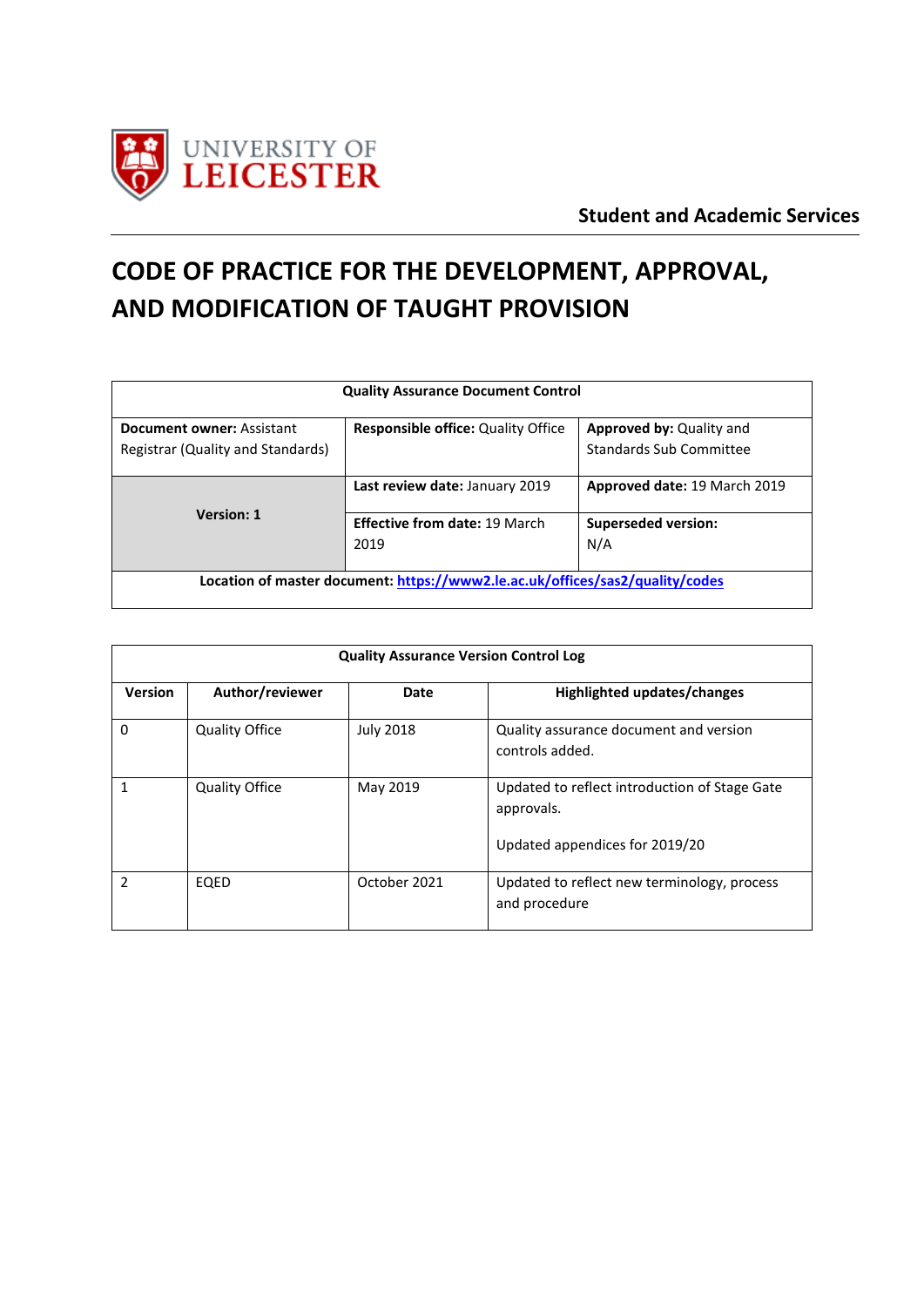

# **CODE OF PRACTICE FOR THE DEVELOPMENT, APPROVAL, AND MODIFICATION OF TAUGHT PROVISION**

| <b>Quality Assurance Document Control</b>                                     |                                              |                                                            |  |
|-------------------------------------------------------------------------------|----------------------------------------------|------------------------------------------------------------|--|
| <b>Document owner: Assistant</b><br>Registrar (Quality and Standards)         | <b>Responsible office: Quality Office</b>    | <b>Approved by: Quality and</b><br>Standards Sub Committee |  |
|                                                                               | Last review date: January 2019               | Approved date: 19 March 2019                               |  |
| <b>Version: 1</b>                                                             | <b>Effective from date: 19 March</b><br>2019 | <b>Superseded version:</b><br>N/A                          |  |
| Location of master document: https://www2.le.ac.uk/offices/sas2/quality/codes |                                              |                                                            |  |

| <b>Quality Assurance Version Control Log</b> |                       |                  |                                                              |
|----------------------------------------------|-----------------------|------------------|--------------------------------------------------------------|
| Version                                      | Author/reviewer       | Date             | Highlighted updates/changes                                  |
| 0                                            | <b>Quality Office</b> | <b>July 2018</b> | Quality assurance document and version<br>controls added.    |
| 1                                            | <b>Quality Office</b> | May 2019         | Updated to reflect introduction of Stage Gate<br>approvals.  |
|                                              |                       |                  | Updated appendices for 2019/20                               |
| 2                                            | EQED                  | October 2021     | Updated to reflect new terminology, process<br>and procedure |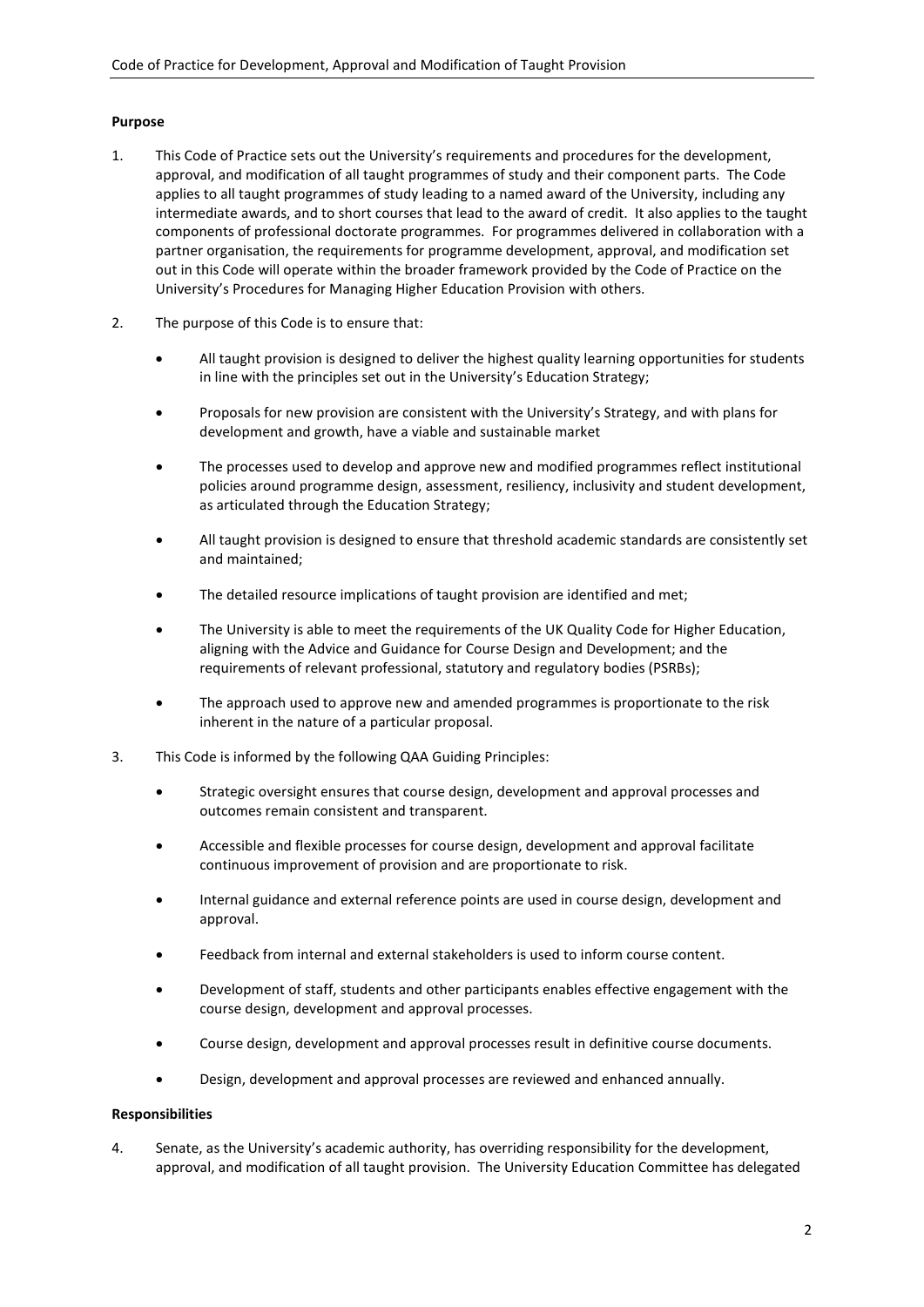# **Purpose**

- 1. This Code of Practice sets out the University's requirements and procedures for the development, approval, and modification of all taught programmes of study and their component parts. The Code applies to all taught programmes of study leading to a named award of the University, including any intermediate awards, and to short courses that lead to the award of credit. It also applies to the taught components of professional doctorate programmes. For programmes delivered in collaboration with a partner organisation, the requirements for programme development, approval, and modification set out in this Code will operate within the broader framework provided by the Code of Practice on the University's Procedures for Managing Higher Education Provision with others.
- 2. The purpose of this Code is to ensure that:
	- All taught provision is designed to deliver the highest quality learning opportunities for students in line with the principles set out in the University's Education Strategy;
	- Proposals for new provision are consistent with the University's Strategy, and with plans for development and growth, have a viable and sustainable market
	- The processes used to develop and approve new and modified programmes reflect institutional policies around programme design, assessment, resiliency, inclusivity and student development, as articulated through the Education Strategy;
	- All taught provision is designed to ensure that threshold academic standards are consistently set and maintained;
	- The detailed resource implications of taught provision are identified and met;
	- The University is able to meet the requirements of the UK Quality Code for Higher Education, aligning with the Advice and Guidance for Course Design and Development; and the requirements of relevant professional, statutory and regulatory bodies (PSRBs);
	- The approach used to approve new and amended programmes is proportionate to the risk inherent in the nature of a particular proposal.
- 3. This Code is informed by the following QAA Guiding Principles:
	- Strategic oversight ensures that course design, development and approval processes and outcomes remain consistent and transparent.
	- Accessible and flexible processes for course design, development and approval facilitate continuous improvement of provision and are proportionate to risk.
	- Internal guidance and external reference points are used in course design, development and approval.
	- Feedback from internal and external stakeholders is used to inform course content.
	- Development of staff, students and other participants enables effective engagement with the course design, development and approval processes.
	- Course design, development and approval processes result in definitive course documents.
	- Design, development and approval processes are reviewed and enhanced annually.

# **Responsibilities**

4. Senate, as the University's academic authority, has overriding responsibility for the development, approval, and modification of all taught provision. The University Education Committee has delegated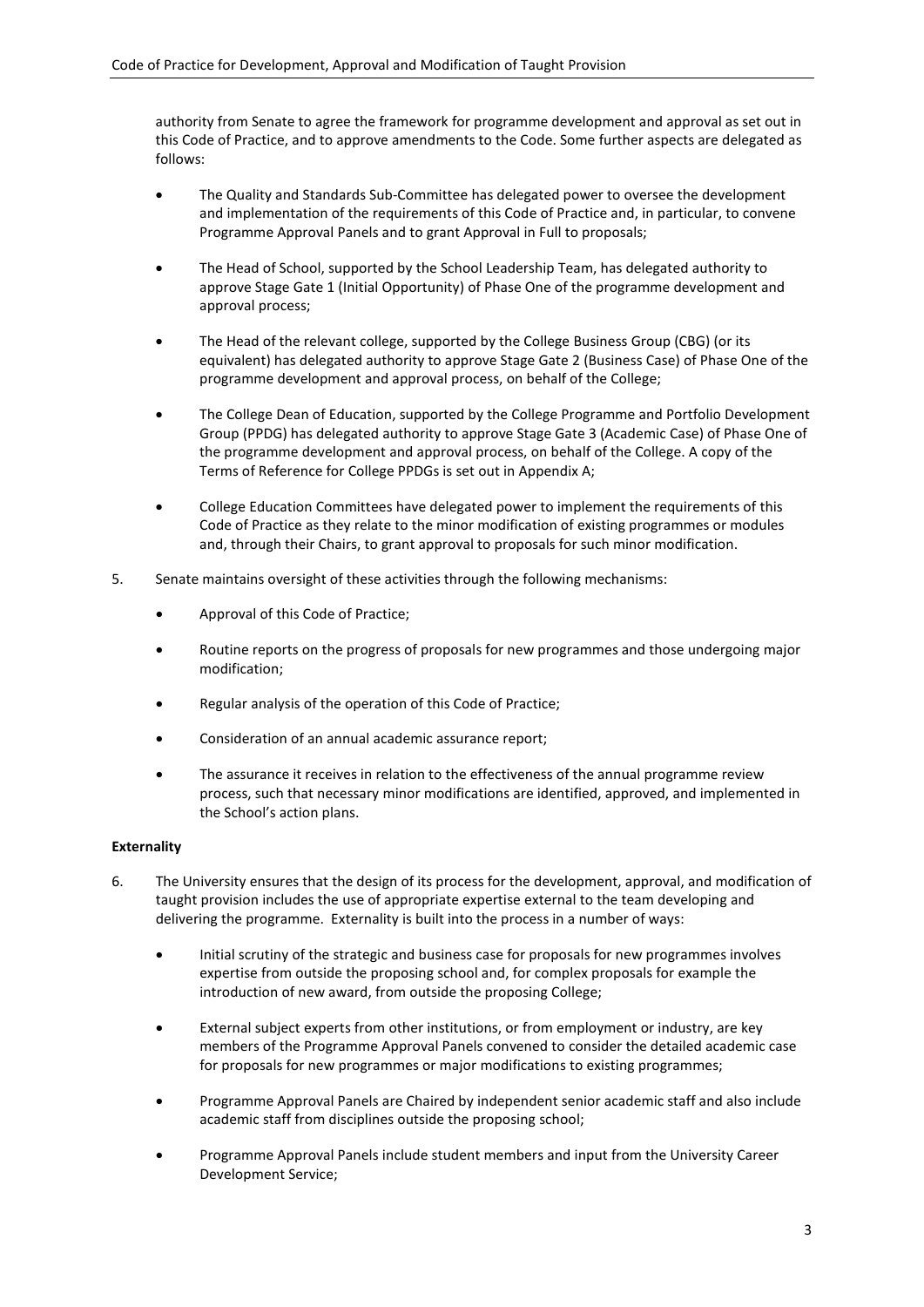authority from Senate to agree the framework for programme development and approval as set out in this Code of Practice, and to approve amendments to the Code. Some further aspects are delegated as follows:

- The Quality and Standards Sub-Committee has delegated power to oversee the development and implementation of the requirements of this Code of Practice and, in particular, to convene Programme Approval Panels and to grant Approval in Full to proposals;
- The Head of School, supported by the School Leadership Team, has delegated authority to approve Stage Gate 1 (Initial Opportunity) of Phase One of the programme development and approval process;
- The Head of the relevant college, supported by the College Business Group (CBG) (or its equivalent) has delegated authority to approve Stage Gate 2 (Business Case) of Phase One of the programme development and approval process, on behalf of the College;
- The College Dean of Education, supported by the College Programme and Portfolio Development Group (PPDG) has delegated authority to approve Stage Gate 3 (Academic Case) of Phase One of the programme development and approval process, on behalf of the College. A copy of the Terms of Reference for College PPDGs is set out in Appendix A;
- College Education Committees have delegated power to implement the requirements of this Code of Practice as they relate to the minor modification of existing programmes or modules and, through their Chairs, to grant approval to proposals for such minor modification.
- 5. Senate maintains oversight of these activities through the following mechanisms:
	- Approval of this Code of Practice;
	- Routine reports on the progress of proposals for new programmes and those undergoing major modification;
	- Regular analysis of the operation of this Code of Practice;
	- Consideration of an annual academic assurance report;
	- The assurance it receives in relation to the effectiveness of the annual programme review process, such that necessary minor modifications are identified, approved, and implemented in the School's action plans.

# **Externality**

- 6. The University ensures that the design of its process for the development, approval, and modification of taught provision includes the use of appropriate expertise external to the team developing and delivering the programme. Externality is built into the process in a number of ways:
	- Initial scrutiny of the strategic and business case for proposals for new programmes involves expertise from outside the proposing school and, for complex proposals for example the introduction of new award, from outside the proposing College;
	- External subject experts from other institutions, or from employment or industry, are key members of the Programme Approval Panels convened to consider the detailed academic case for proposals for new programmes or major modifications to existing programmes;
	- Programme Approval Panels are Chaired by independent senior academic staff and also include academic staff from disciplines outside the proposing school;
	- Programme Approval Panels include student members and input from the University Career Development Service;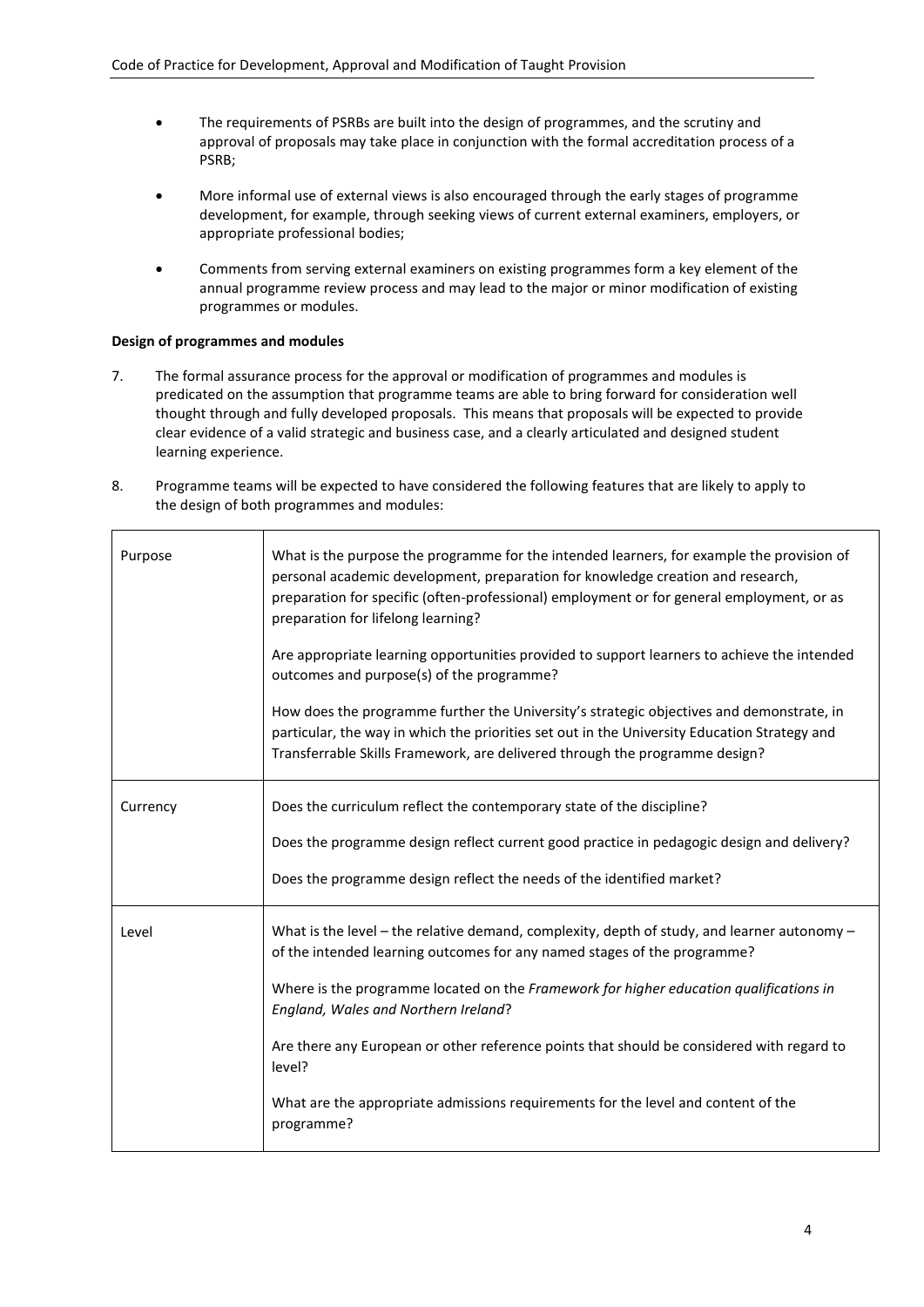- The requirements of PSRBs are built into the design of programmes, and the scrutiny and approval of proposals may take place in conjunction with the formal accreditation process of a PSRB;
- More informal use of external views is also encouraged through the early stages of programme development, for example, through seeking views of current external examiners, employers, or appropriate professional bodies;
- Comments from serving external examiners on existing programmes form a key element of the annual programme review process and may lead to the major or minor modification of existing programmes or modules.

# **Design of programmes and modules**

- 7. The formal assurance process for the approval or modification of programmes and modules is predicated on the assumption that programme teams are able to bring forward for consideration well thought through and fully developed proposals. This means that proposals will be expected to provide clear evidence of a valid strategic and business case, and a clearly articulated and designed student learning experience.
- 8. Programme teams will be expected to have considered the following features that are likely to apply to the design of both programmes and modules:

| Purpose  | What is the purpose the programme for the intended learners, for example the provision of<br>personal academic development, preparation for knowledge creation and research,<br>preparation for specific (often-professional) employment or for general employment, or as<br>preparation for lifelong learning? |  |  |  |
|----------|-----------------------------------------------------------------------------------------------------------------------------------------------------------------------------------------------------------------------------------------------------------------------------------------------------------------|--|--|--|
|          | Are appropriate learning opportunities provided to support learners to achieve the intended<br>outcomes and purpose(s) of the programme?                                                                                                                                                                        |  |  |  |
|          | How does the programme further the University's strategic objectives and demonstrate, in<br>particular, the way in which the priorities set out in the University Education Strategy and<br>Transferrable Skills Framework, are delivered through the programme design?                                         |  |  |  |
| Currency | Does the curriculum reflect the contemporary state of the discipline?                                                                                                                                                                                                                                           |  |  |  |
|          | Does the programme design reflect current good practice in pedagogic design and delivery?                                                                                                                                                                                                                       |  |  |  |
|          | Does the programme design reflect the needs of the identified market?                                                                                                                                                                                                                                           |  |  |  |
| Level    | What is the level – the relative demand, complexity, depth of study, and learner autonomy –<br>of the intended learning outcomes for any named stages of the programme?                                                                                                                                         |  |  |  |
|          | Where is the programme located on the Framework for higher education qualifications in<br>England, Wales and Northern Ireland?                                                                                                                                                                                  |  |  |  |
|          | Are there any European or other reference points that should be considered with regard to<br>level?                                                                                                                                                                                                             |  |  |  |
|          | What are the appropriate admissions requirements for the level and content of the<br>programme?                                                                                                                                                                                                                 |  |  |  |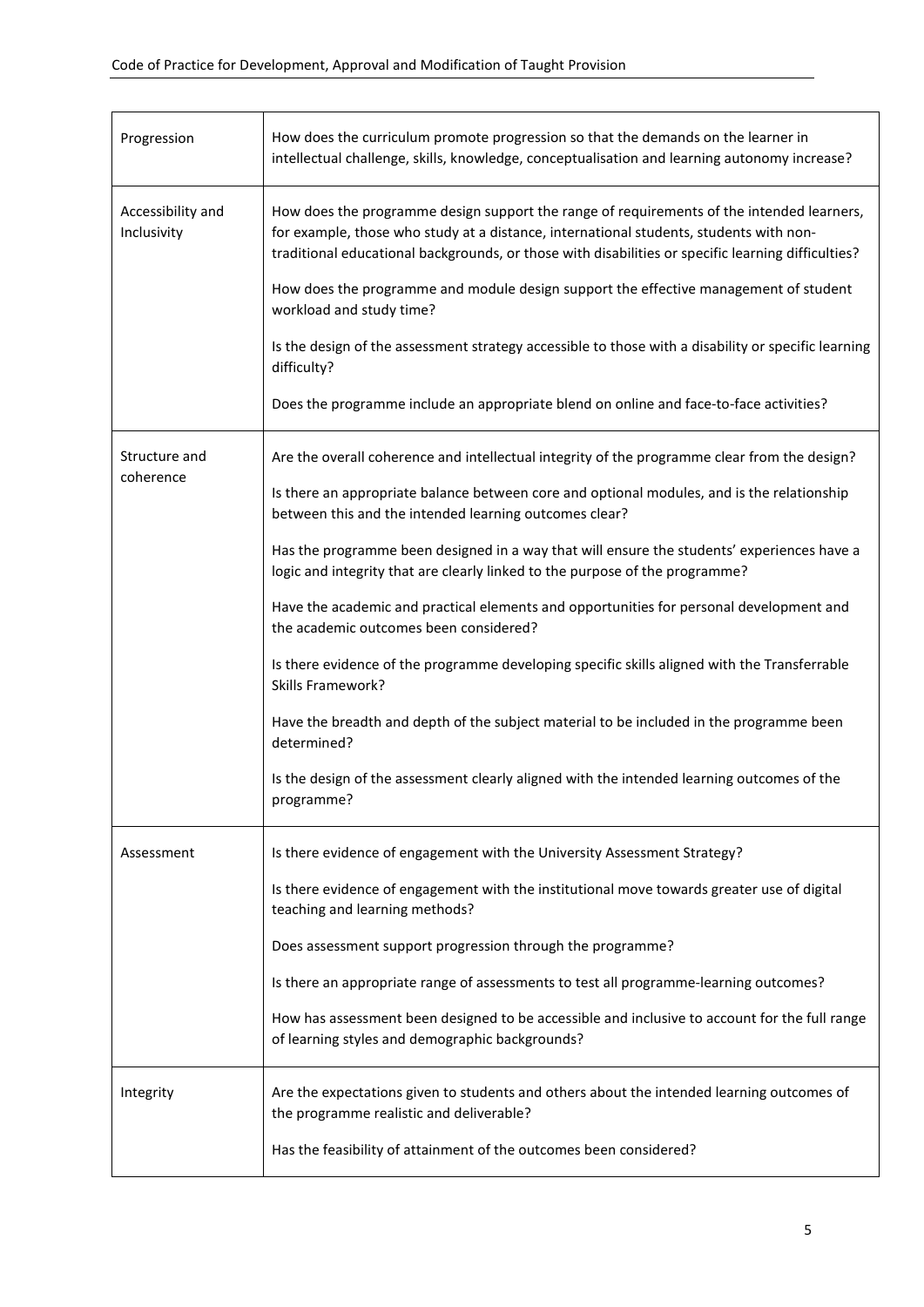| Progression                      | How does the curriculum promote progression so that the demands on the learner in<br>intellectual challenge, skills, knowledge, conceptualisation and learning autonomy increase?                                                                                                                                                                                                                                                                                                                                                                                                                                                                                                                                                                                                                                                                                                                                         |
|----------------------------------|---------------------------------------------------------------------------------------------------------------------------------------------------------------------------------------------------------------------------------------------------------------------------------------------------------------------------------------------------------------------------------------------------------------------------------------------------------------------------------------------------------------------------------------------------------------------------------------------------------------------------------------------------------------------------------------------------------------------------------------------------------------------------------------------------------------------------------------------------------------------------------------------------------------------------|
| Accessibility and<br>Inclusivity | How does the programme design support the range of requirements of the intended learners,<br>for example, those who study at a distance, international students, students with non-<br>traditional educational backgrounds, or those with disabilities or specific learning difficulties?<br>How does the programme and module design support the effective management of student<br>workload and study time?<br>Is the design of the assessment strategy accessible to those with a disability or specific learning<br>difficulty?<br>Does the programme include an appropriate blend on online and face-to-face activities?                                                                                                                                                                                                                                                                                             |
| Structure and<br>coherence       | Are the overall coherence and intellectual integrity of the programme clear from the design?<br>Is there an appropriate balance between core and optional modules, and is the relationship<br>between this and the intended learning outcomes clear?<br>Has the programme been designed in a way that will ensure the students' experiences have a<br>logic and integrity that are clearly linked to the purpose of the programme?<br>Have the academic and practical elements and opportunities for personal development and<br>the academic outcomes been considered?<br>Is there evidence of the programme developing specific skills aligned with the Transferrable<br><b>Skills Framework?</b><br>Have the breadth and depth of the subject material to be included in the programme been<br>determined?<br>Is the design of the assessment clearly aligned with the intended learning outcomes of the<br>programme? |
| Assessment                       | Is there evidence of engagement with the University Assessment Strategy?<br>Is there evidence of engagement with the institutional move towards greater use of digital<br>teaching and learning methods?<br>Does assessment support progression through the programme?<br>Is there an appropriate range of assessments to test all programme-learning outcomes?<br>How has assessment been designed to be accessible and inclusive to account for the full range<br>of learning styles and demographic backgrounds?                                                                                                                                                                                                                                                                                                                                                                                                       |
| Integrity                        | Are the expectations given to students and others about the intended learning outcomes of<br>the programme realistic and deliverable?<br>Has the feasibility of attainment of the outcomes been considered?                                                                                                                                                                                                                                                                                                                                                                                                                                                                                                                                                                                                                                                                                                               |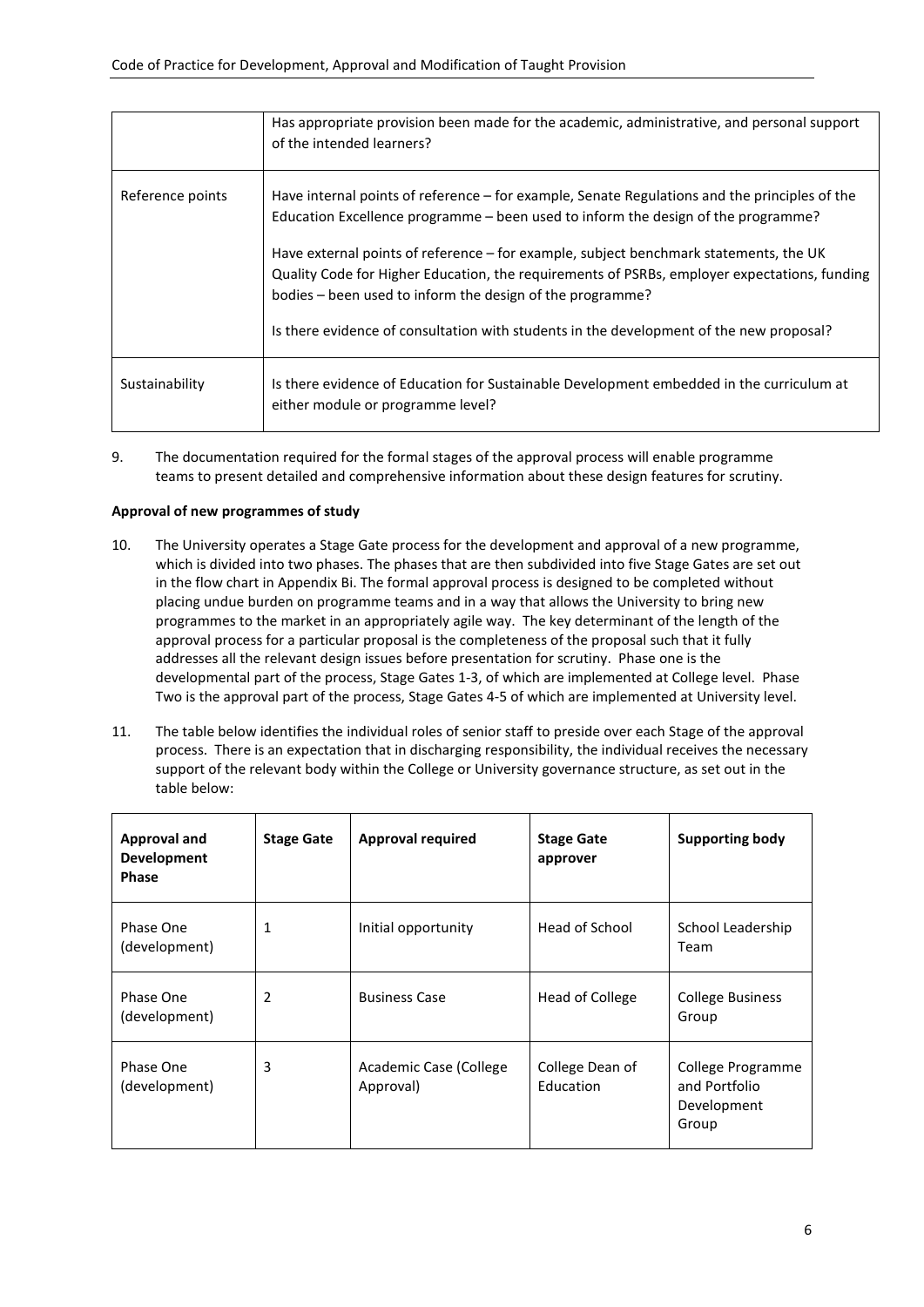|                  | Has appropriate provision been made for the academic, administrative, and personal support<br>of the intended learners?                                                                                                                            |
|------------------|----------------------------------------------------------------------------------------------------------------------------------------------------------------------------------------------------------------------------------------------------|
| Reference points | Have internal points of reference – for example, Senate Regulations and the principles of the<br>Education Excellence programme – been used to inform the design of the programme?                                                                 |
|                  | Have external points of reference – for example, subject benchmark statements, the UK<br>Quality Code for Higher Education, the requirements of PSRBs, employer expectations, funding<br>bodies – been used to inform the design of the programme? |
|                  | Is there evidence of consultation with students in the development of the new proposal?                                                                                                                                                            |
| Sustainability   | Is there evidence of Education for Sustainable Development embedded in the curriculum at<br>either module or programme level?                                                                                                                      |

9. The documentation required for the formal stages of the approval process will enable programme teams to present detailed and comprehensive information about these design features for scrutiny.

# **Approval of new programmes of study**

- 10. The University operates a Stage Gate process for the development and approval of a new programme, which is divided into two phases. The phases that are then subdivided into five Stage Gates are set out in the flow chart in Appendix Bi. The formal approval process is designed to be completed without placing undue burden on programme teams and in a way that allows the University to bring new programmes to the market in an appropriately agile way. The key determinant of the length of the approval process for a particular proposal is the completeness of the proposal such that it fully addresses all the relevant design issues before presentation for scrutiny. Phase one is the developmental part of the process, Stage Gates 1-3, of which are implemented at College level. Phase Two is the approval part of the process, Stage Gates 4-5 of which are implemented at University level.
- 11. The table below identifies the individual roles of senior staff to preside over each Stage of the approval process. There is an expectation that in discharging responsibility, the individual receives the necessary support of the relevant body within the College or University governance structure, as set out in the table below:

| <b>Approval and</b><br><b>Development</b><br><b>Phase</b> | <b>Stage Gate</b> | <b>Approval required</b>            | <b>Stage Gate</b><br>approver | <b>Supporting body</b>                                     |
|-----------------------------------------------------------|-------------------|-------------------------------------|-------------------------------|------------------------------------------------------------|
| Phase One<br>(development)                                | 1                 | Initial opportunity                 | Head of School                | School Leadership<br>Team                                  |
| Phase One<br>(development)                                | 2                 | <b>Business Case</b>                | Head of College               | <b>College Business</b><br>Group                           |
| Phase One<br>(development)                                | 3                 | Academic Case (College<br>Approval) | College Dean of<br>Education  | College Programme<br>and Portfolio<br>Development<br>Group |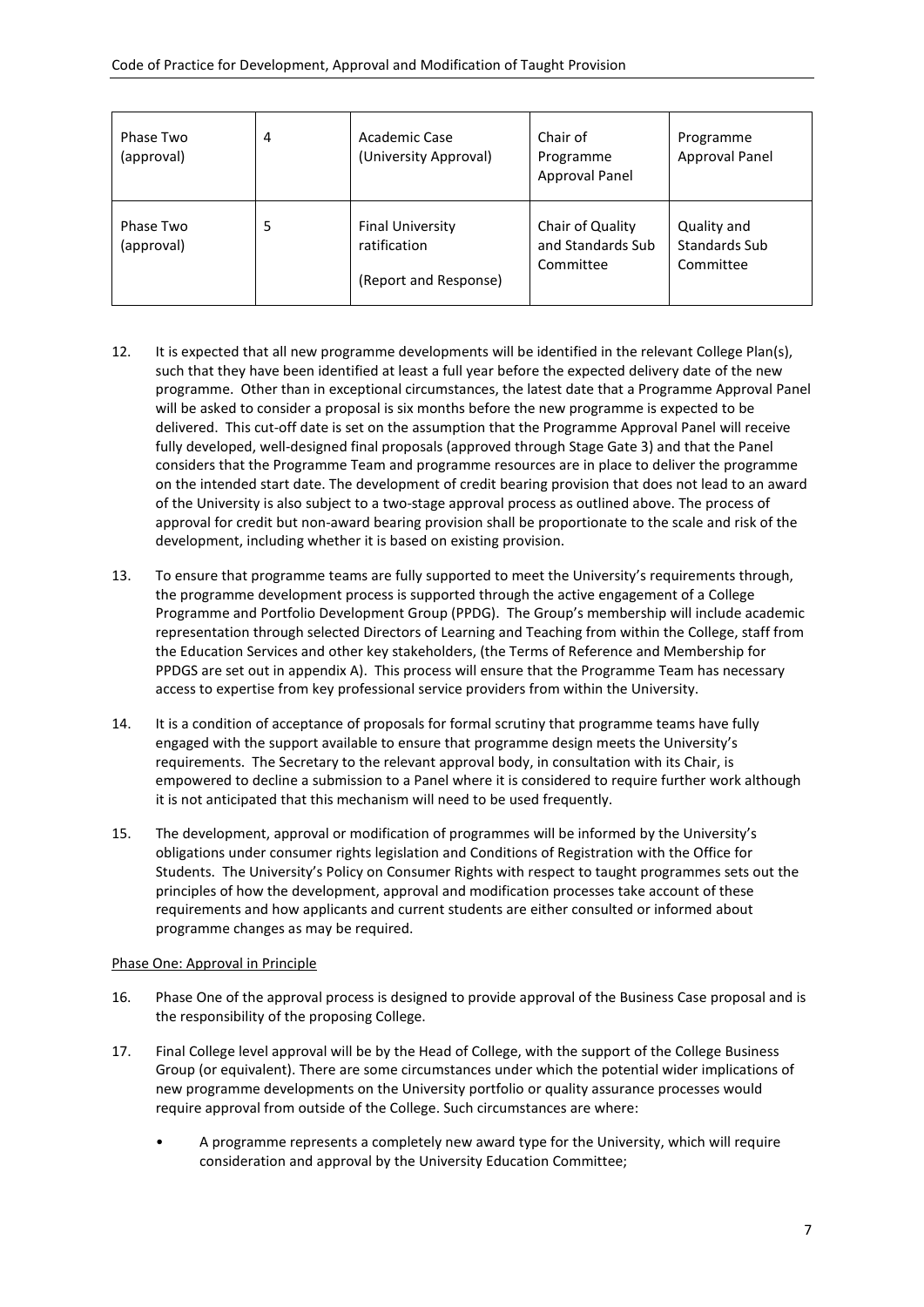| Phase Two<br>(approval) | 4 | Academic Case<br>(University Approval)                           | Chair of<br>Programme<br>Approval Panel            | Programme<br><b>Approval Panel</b>        |
|-------------------------|---|------------------------------------------------------------------|----------------------------------------------------|-------------------------------------------|
| Phase Two<br>(approval) | 5 | <b>Final University</b><br>ratification<br>(Report and Response) | Chair of Quality<br>and Standards Sub<br>Committee | Quality and<br>Standards Sub<br>Committee |

- 12. It is expected that all new programme developments will be identified in the relevant College Plan(s), such that they have been identified at least a full year before the expected delivery date of the new programme. Other than in exceptional circumstances, the latest date that a Programme Approval Panel will be asked to consider a proposal is six months before the new programme is expected to be delivered. This cut-off date is set on the assumption that the Programme Approval Panel will receive fully developed, well-designed final proposals (approved through Stage Gate 3) and that the Panel considers that the Programme Team and programme resources are in place to deliver the programme on the intended start date. The development of credit bearing provision that does not lead to an award of the University is also subject to a two-stage approval process as outlined above. The process of approval for credit but non-award bearing provision shall be proportionate to the scale and risk of the development, including whether it is based on existing provision.
- 13. To ensure that programme teams are fully supported to meet the University's requirements through, the programme development process is supported through the active engagement of a College Programme and Portfolio Development Group (PPDG). The Group's membership will include academic representation through selected Directors of Learning and Teaching from within the College, staff from the Education Services and other key stakeholders, (the Terms of Reference and Membership for PPDGS are set out in appendix A). This process will ensure that the Programme Team has necessary access to expertise from key professional service providers from within the University.
- 14. It is a condition of acceptance of proposals for formal scrutiny that programme teams have fully engaged with the support available to ensure that programme design meets the University's requirements. The Secretary to the relevant approval body, in consultation with its Chair, is empowered to decline a submission to a Panel where it is considered to require further work although it is not anticipated that this mechanism will need to be used frequently.
- 15. The development, approval or modification of programmes will be informed by the University's obligations under consumer rights legislation and Conditions of Registration with the Office for Students. The University's Policy on Consumer Rights with respect to taught programmes sets out the principles of how the development, approval and modification processes take account of these requirements and how applicants and current students are either consulted or informed about programme changes as may be required.

# Phase One: Approval in Principle

- 16. Phase One of the approval process is designed to provide approval of the Business Case proposal and is the responsibility of the proposing College.
- 17. Final College level approval will be by the Head of College, with the support of the College Business Group (or equivalent). There are some circumstances under which the potential wider implications of new programme developments on the University portfolio or quality assurance processes would require approval from outside of the College. Such circumstances are where:
	- A programme represents a completely new award type for the University, which will require consideration and approval by the University Education Committee;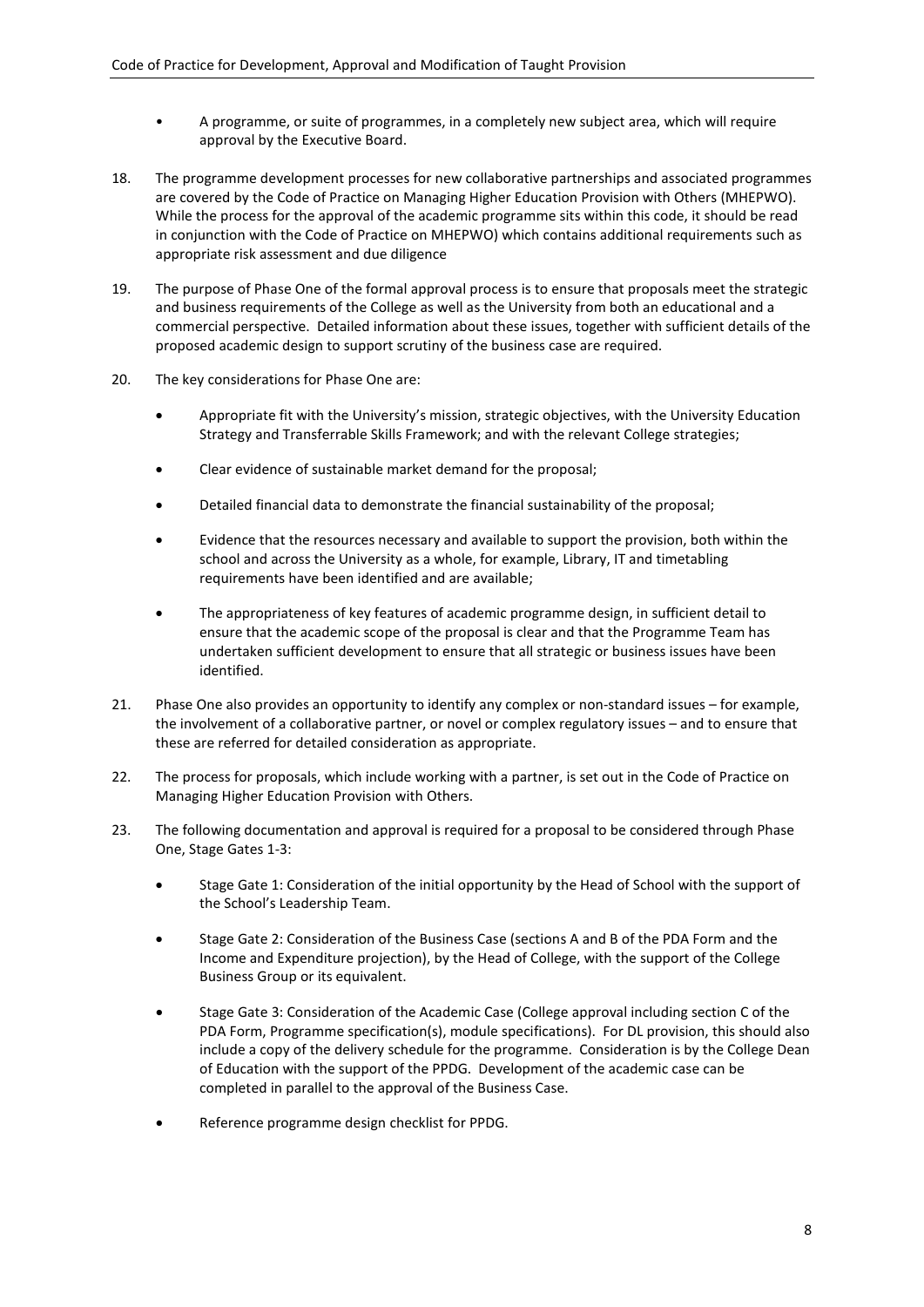- A programme, or suite of programmes, in a completely new subject area, which will require approval by the Executive Board.
- 18. The programme development processes for new collaborative partnerships and associated programmes are covered by the Code of Practice on Managing Higher Education Provision with Others (MHEPWO). While the process for the approval of the academic programme sits within this code, it should be read in conjunction with the Code of Practice on MHEPWO) which contains additional requirements such as appropriate risk assessment and due diligence
- 19. The purpose of Phase One of the formal approval process is to ensure that proposals meet the strategic and business requirements of the College as well as the University from both an educational and a commercial perspective. Detailed information about these issues, together with sufficient details of the proposed academic design to support scrutiny of the business case are required.
- 20. The key considerations for Phase One are:
	- Appropriate fit with the University's mission, strategic objectives, with the University Education Strategy and Transferrable Skills Framework; and with the relevant College strategies;
	- Clear evidence of sustainable market demand for the proposal;
	- Detailed financial data to demonstrate the financial sustainability of the proposal;
	- Evidence that the resources necessary and available to support the provision, both within the school and across the University as a whole, for example, Library, IT and timetabling requirements have been identified and are available;
	- The appropriateness of key features of academic programme design, in sufficient detail to ensure that the academic scope of the proposal is clear and that the Programme Team has undertaken sufficient development to ensure that all strategic or business issues have been identified.
- 21. Phase One also provides an opportunity to identify any complex or non-standard issues for example, the involvement of a collaborative partner, or novel or complex regulatory issues – and to ensure that these are referred for detailed consideration as appropriate.
- 22. The process for proposals, which include working with a partner, is set out in the Code of Practice on Managing Higher Education Provision with Others.
- 23. The following documentation and approval is required for a proposal to be considered through Phase One, Stage Gates 1-3:
	- Stage Gate 1: Consideration of the initial opportunity by the Head of School with the support of the School's Leadership Team.
	- Stage Gate 2: Consideration of the Business Case (sections A and B of the PDA Form and the Income and Expenditure projection), by the Head of College, with the support of the College Business Group or its equivalent.
	- Stage Gate 3: Consideration of the Academic Case (College approval including section C of the PDA Form, Programme specification(s), module specifications). For DL provision, this should also include a copy of the delivery schedule for the programme. Consideration is by the College Dean of Education with the support of the PPDG. Development of the academic case can be completed in parallel to the approval of the Business Case.
	- Reference programme design checklist for PPDG.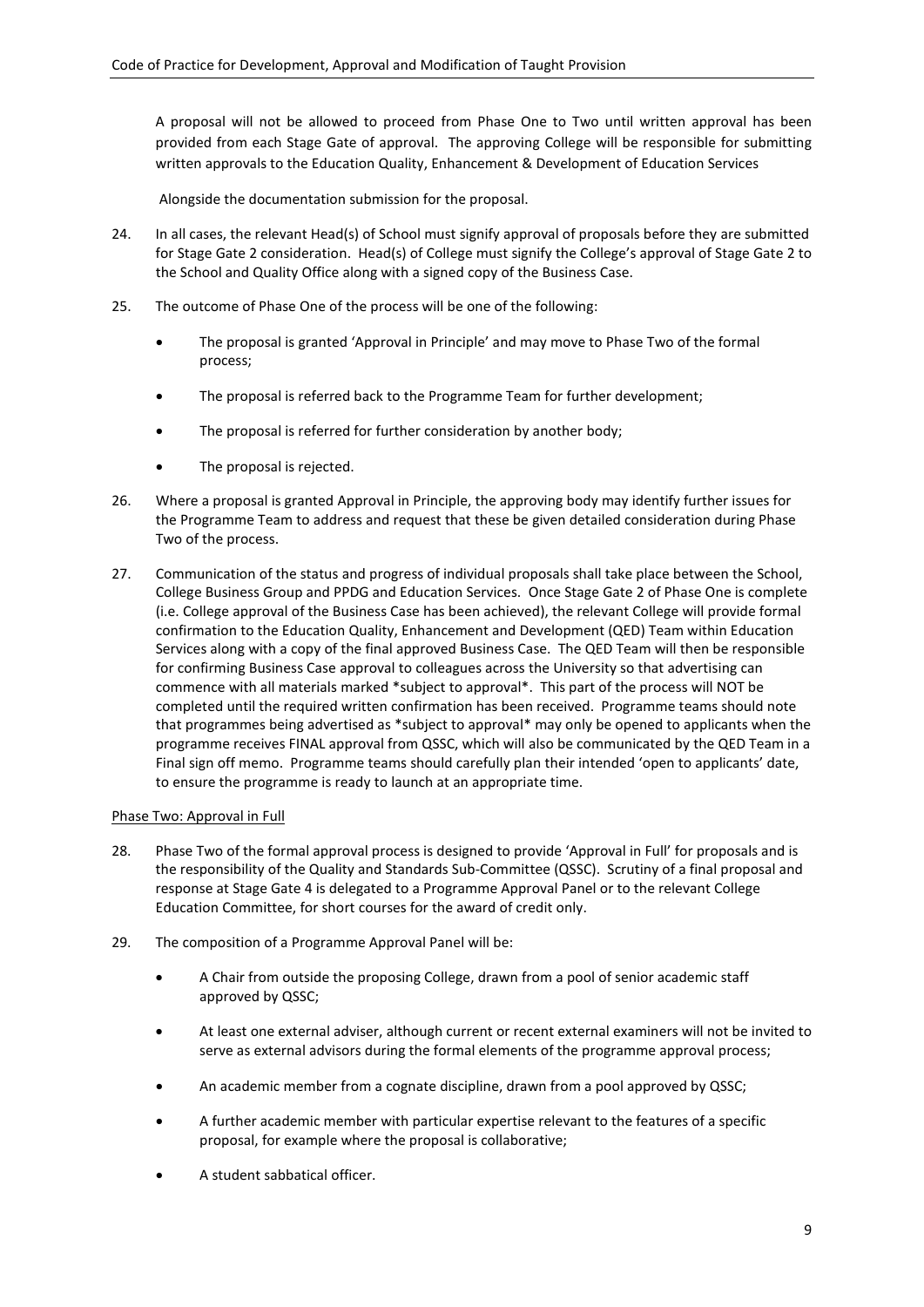A proposal will not be allowed to proceed from Phase One to Two until written approval has been provided from each Stage Gate of approval. The approving College will be responsible for submitting written approvals to the Education Quality, Enhancement & Development of Education Services

Alongside the documentation submission for the proposal.

- 24. In all cases, the relevant Head(s) of School must signify approval of proposals before they are submitted for Stage Gate 2 consideration. Head(s) of College must signify the College's approval of Stage Gate 2 to the School and Quality Office along with a signed copy of the Business Case.
- 25. The outcome of Phase One of the process will be one of the following:
	- The proposal is granted 'Approval in Principle' and may move to Phase Two of the formal process;
	- The proposal is referred back to the Programme Team for further development;
	- The proposal is referred for further consideration by another body;
	- The proposal is rejected.
- 26. Where a proposal is granted Approval in Principle, the approving body may identify further issues for the Programme Team to address and request that these be given detailed consideration during Phase Two of the process.
- 27. Communication of the status and progress of individual proposals shall take place between the School, College Business Group and PPDG and Education Services. Once Stage Gate 2 of Phase One is complete (i.e. College approval of the Business Case has been achieved), the relevant College will provide formal confirmation to the Education Quality, Enhancement and Development (QED) Team within Education Services along with a copy of the final approved Business Case. The QED Team will then be responsible for confirming Business Case approval to colleagues across the University so that advertising can commence with all materials marked \*subject to approval\*. This part of the process will NOT be completed until the required written confirmation has been received. Programme teams should note that programmes being advertised as \*subject to approval\* may only be opened to applicants when the programme receives FINAL approval from QSSC, which will also be communicated by the QED Team in a Final sign off memo. Programme teams should carefully plan their intended 'open to applicants' date, to ensure the programme is ready to launch at an appropriate time.

# Phase Two: Approval in Full

- 28. Phase Two of the formal approval process is designed to provide 'Approval in Full' for proposals and is the responsibility of the Quality and Standards Sub-Committee (QSSC). Scrutiny of a final proposal and response at Stage Gate 4 is delegated to a Programme Approval Panel or to the relevant College Education Committee, for short courses for the award of credit only.
- 29. The composition of a Programme Approval Panel will be:
	- A Chair from outside the proposing College, drawn from a pool of senior academic staff approved by QSSC;
	- At least one external adviser, although current or recent external examiners will not be invited to serve as external advisors during the formal elements of the programme approval process;
	- An academic member from a cognate discipline, drawn from a pool approved by QSSC;
	- A further academic member with particular expertise relevant to the features of a specific proposal, for example where the proposal is collaborative;
	- A student sabbatical officer.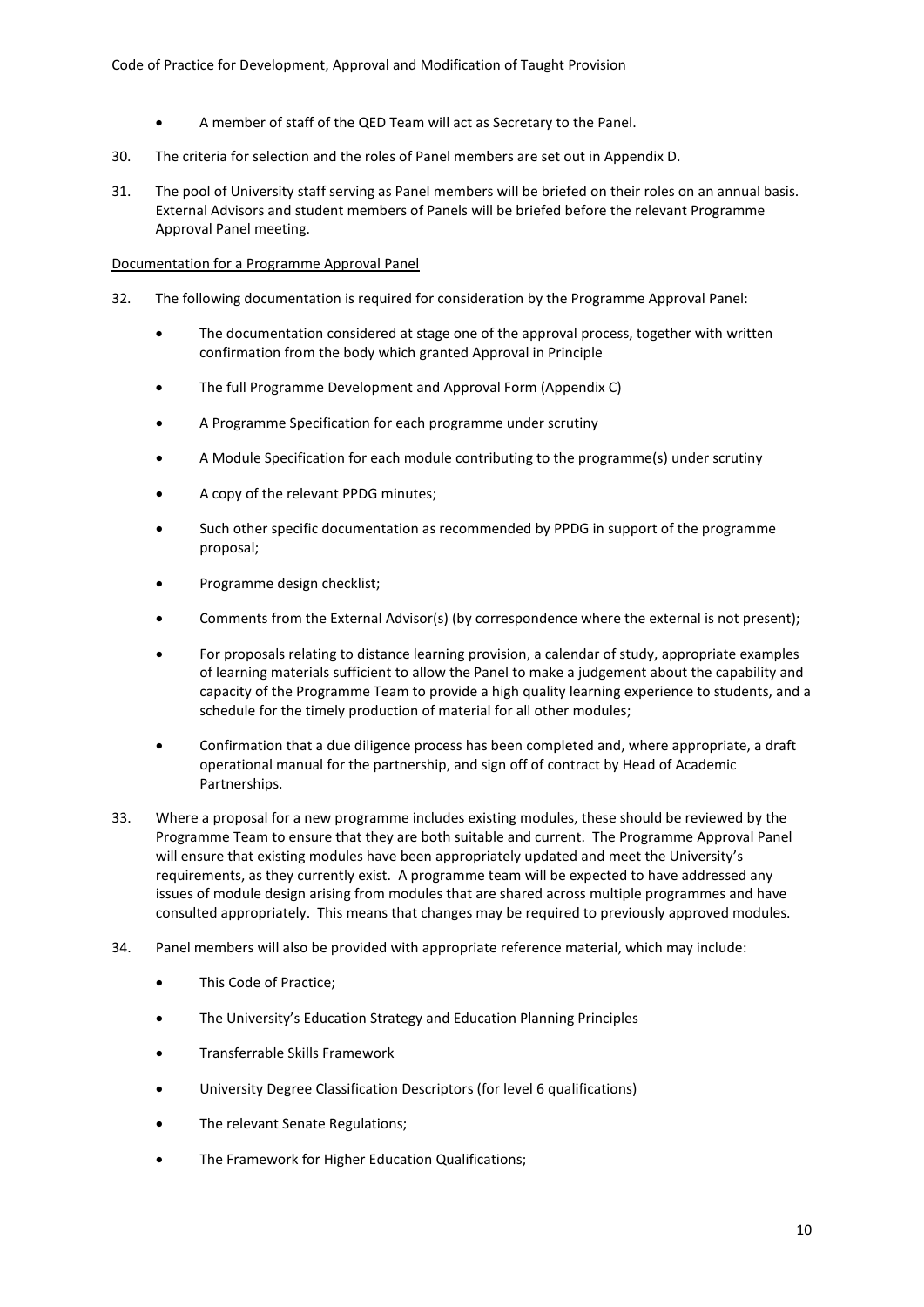- A member of staff of the QED Team will act as Secretary to the Panel.
- 30. The criteria for selection and the roles of Panel members are set out in Appendix D.
- 31. The pool of University staff serving as Panel members will be briefed on their roles on an annual basis. External Advisors and student members of Panels will be briefed before the relevant Programme Approval Panel meeting.

# Documentation for a Programme Approval Panel

- 32. The following documentation is required for consideration by the Programme Approval Panel:
	- The documentation considered at stage one of the approval process, together with written confirmation from the body which granted Approval in Principle
	- The full Programme Development and Approval Form (Appendix C)
	- A Programme Specification for each programme under scrutiny
	- A Module Specification for each module contributing to the programme(s) under scrutiny
	- A copy of the relevant PPDG minutes;
	- Such other specific documentation as recommended by PPDG in support of the programme proposal;
	- Programme design checklist;
	- Comments from the External Advisor(s) (by correspondence where the external is not present);
	- For proposals relating to distance learning provision, a calendar of study, appropriate examples of learning materials sufficient to allow the Panel to make a judgement about the capability and capacity of the Programme Team to provide a high quality learning experience to students, and a schedule for the timely production of material for all other modules;
	- Confirmation that a due diligence process has been completed and, where appropriate, a draft operational manual for the partnership, and sign off of contract by Head of Academic Partnerships.
- 33. Where a proposal for a new programme includes existing modules, these should be reviewed by the Programme Team to ensure that they are both suitable and current. The Programme Approval Panel will ensure that existing modules have been appropriately updated and meet the University's requirements, as they currently exist. A programme team will be expected to have addressed any issues of module design arising from modules that are shared across multiple programmes and have consulted appropriately. This means that changes may be required to previously approved modules.
- 34. Panel members will also be provided with appropriate reference material, which may include:
	- This Code of Practice;
	- The University's Education Strategy and Education Planning Principles
	- Transferrable Skills Framework
	- University Degree Classification Descriptors (for level 6 qualifications)
	- The relevant Senate Regulations;
	- The Framework for Higher Education Qualifications;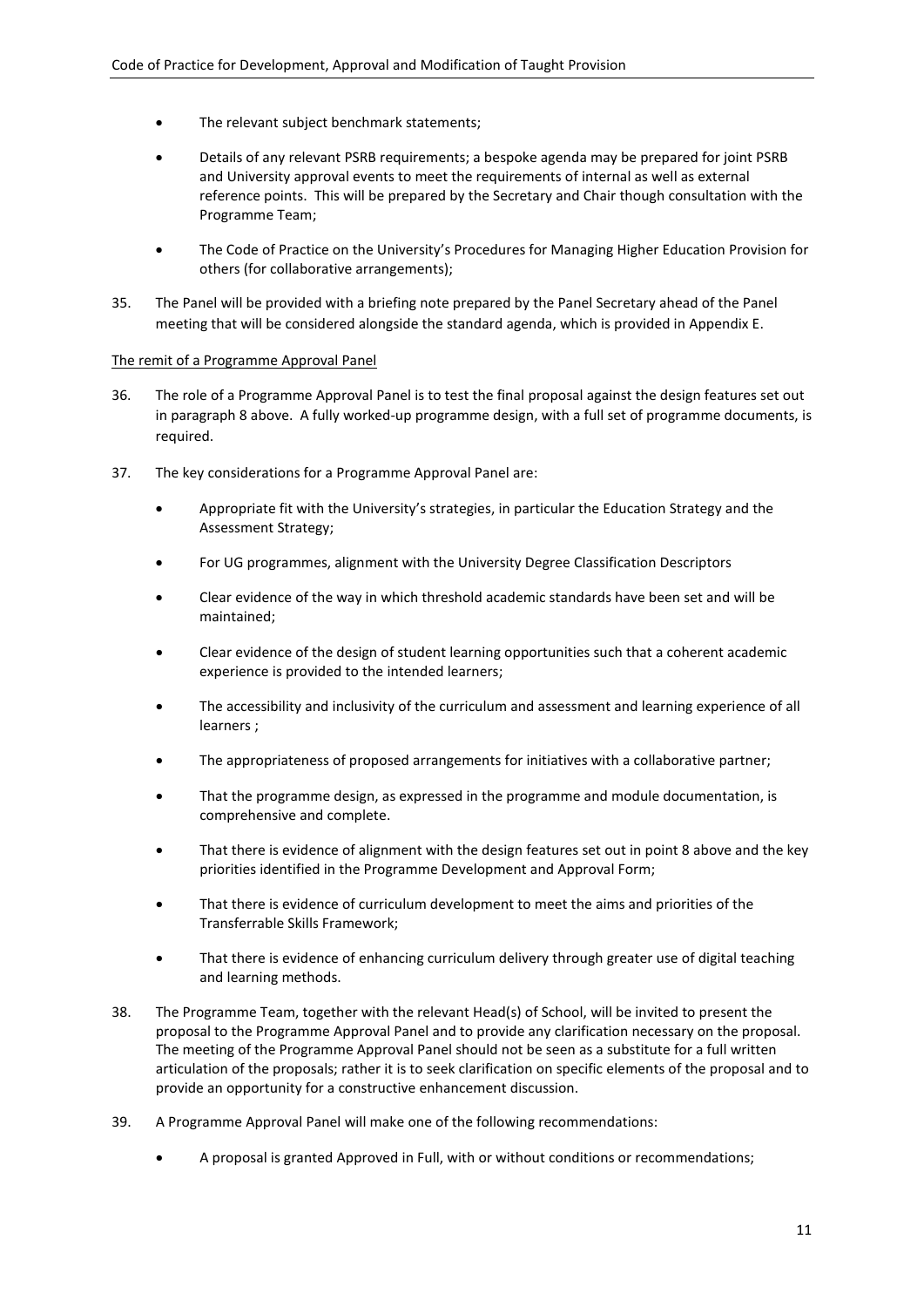- The relevant subject benchmark statements;
- Details of any relevant PSRB requirements; a bespoke agenda may be prepared for joint PSRB and University approval events to meet the requirements of internal as well as external reference points. This will be prepared by the Secretary and Chair though consultation with the Programme Team;
- The Code of Practice on the University's Procedures for Managing Higher Education Provision for others (for collaborative arrangements);
- 35. The Panel will be provided with a briefing note prepared by the Panel Secretary ahead of the Panel meeting that will be considered alongside the standard agenda, which is provided in Appendix E.

#### The remit of a Programme Approval Panel

- 36. The role of a Programme Approval Panel is to test the final proposal against the design features set out in paragraph 8 above. A fully worked-up programme design, with a full set of programme documents, is required.
- 37. The key considerations for a Programme Approval Panel are:
	- Appropriate fit with the University's strategies, in particular the Education Strategy and the Assessment Strategy;
	- For UG programmes, alignment with the University Degree Classification Descriptors
	- Clear evidence of the way in which threshold academic standards have been set and will be maintained;
	- Clear evidence of the design of student learning opportunities such that a coherent academic experience is provided to the intended learners;
	- The accessibility and inclusivity of the curriculum and assessment and learning experience of all learners ;
	- The appropriateness of proposed arrangements for initiatives with a collaborative partner;
	- That the programme design, as expressed in the programme and module documentation, is comprehensive and complete.
	- That there is evidence of alignment with the design features set out in point 8 above and the key priorities identified in the Programme Development and Approval Form;
	- That there is evidence of curriculum development to meet the aims and priorities of the Transferrable Skills Framework;
	- That there is evidence of enhancing curriculum delivery through greater use of digital teaching and learning methods.
- 38. The Programme Team, together with the relevant Head(s) of School, will be invited to present the proposal to the Programme Approval Panel and to provide any clarification necessary on the proposal. The meeting of the Programme Approval Panel should not be seen as a substitute for a full written articulation of the proposals; rather it is to seek clarification on specific elements of the proposal and to provide an opportunity for a constructive enhancement discussion.
- 39. A Programme Approval Panel will make one of the following recommendations:
	- A proposal is granted Approved in Full, with or without conditions or recommendations;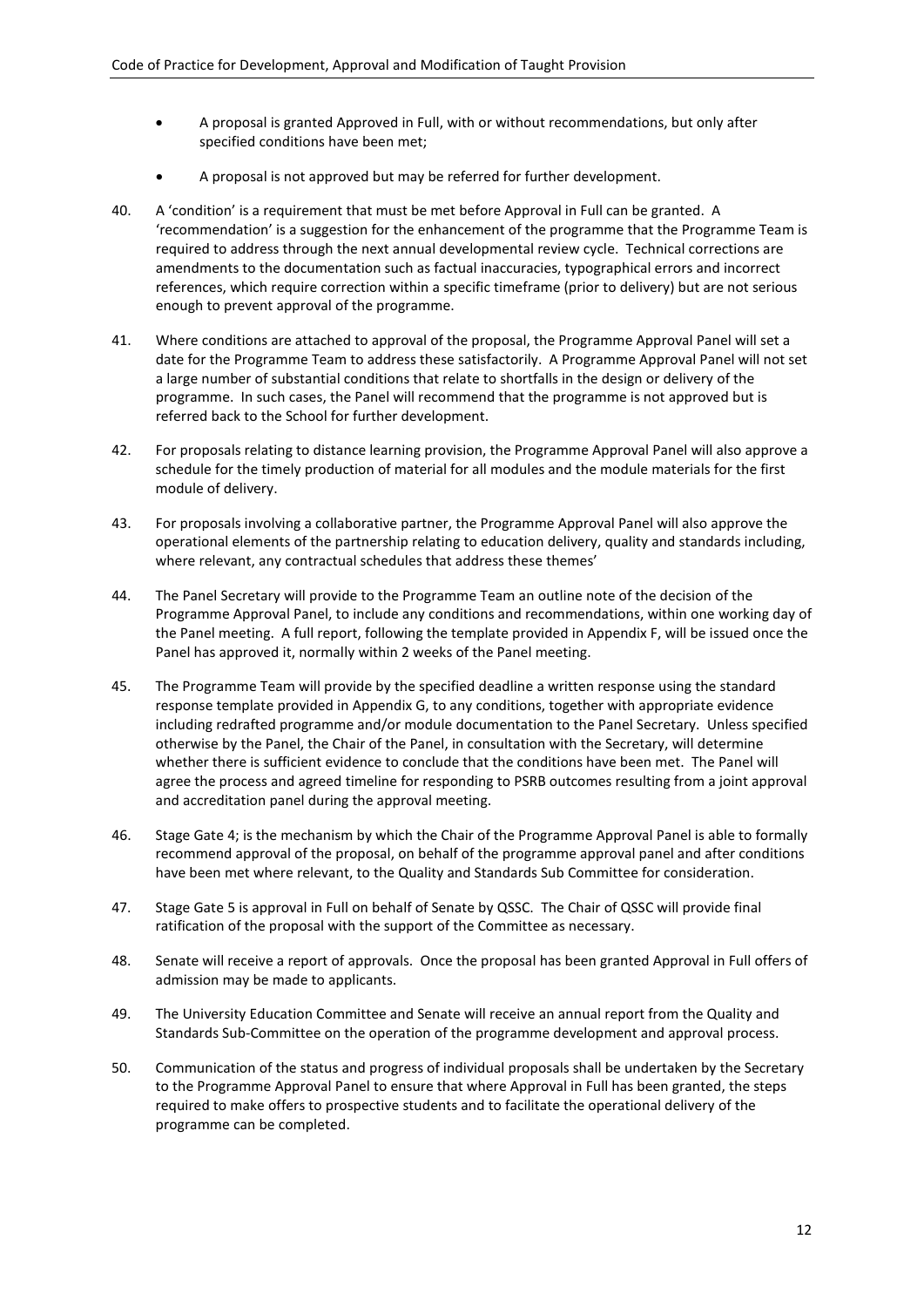- A proposal is granted Approved in Full, with or without recommendations, but only after specified conditions have been met;
- A proposal is not approved but may be referred for further development.
- 40. A 'condition' is a requirement that must be met before Approval in Full can be granted. A 'recommendation' is a suggestion for the enhancement of the programme that the Programme Team is required to address through the next annual developmental review cycle. Technical corrections are amendments to the documentation such as factual inaccuracies, typographical errors and incorrect references, which require correction within a specific timeframe (prior to delivery) but are not serious enough to prevent approval of the programme.
- 41. Where conditions are attached to approval of the proposal, the Programme Approval Panel will set a date for the Programme Team to address these satisfactorily. A Programme Approval Panel will not set a large number of substantial conditions that relate to shortfalls in the design or delivery of the programme. In such cases, the Panel will recommend that the programme is not approved but is referred back to the School for further development.
- 42. For proposals relating to distance learning provision, the Programme Approval Panel will also approve a schedule for the timely production of material for all modules and the module materials for the first module of delivery.
- 43. For proposals involving a collaborative partner, the Programme Approval Panel will also approve the operational elements of the partnership relating to education delivery, quality and standards including, where relevant, any contractual schedules that address these themes'
- 44. The Panel Secretary will provide to the Programme Team an outline note of the decision of the Programme Approval Panel, to include any conditions and recommendations, within one working day of the Panel meeting. A full report, following the template provided in Appendix F, will be issued once the Panel has approved it, normally within 2 weeks of the Panel meeting.
- 45. The Programme Team will provide by the specified deadline a written response using the standard response template provided in Appendix G, to any conditions, together with appropriate evidence including redrafted programme and/or module documentation to the Panel Secretary. Unless specified otherwise by the Panel, the Chair of the Panel, in consultation with the Secretary, will determine whether there is sufficient evidence to conclude that the conditions have been met. The Panel will agree the process and agreed timeline for responding to PSRB outcomes resulting from a joint approval and accreditation panel during the approval meeting.
- 46. Stage Gate 4; is the mechanism by which the Chair of the Programme Approval Panel is able to formally recommend approval of the proposal, on behalf of the programme approval panel and after conditions have been met where relevant, to the Quality and Standards Sub Committee for consideration.
- 47. Stage Gate 5 is approval in Full on behalf of Senate by QSSC. The Chair of QSSC will provide final ratification of the proposal with the support of the Committee as necessary.
- 48. Senate will receive a report of approvals. Once the proposal has been granted Approval in Full offers of admission may be made to applicants.
- 49. The University Education Committee and Senate will receive an annual report from the Quality and Standards Sub-Committee on the operation of the programme development and approval process.
- 50. Communication of the status and progress of individual proposals shall be undertaken by the Secretary to the Programme Approval Panel to ensure that where Approval in Full has been granted, the steps required to make offers to prospective students and to facilitate the operational delivery of the programme can be completed.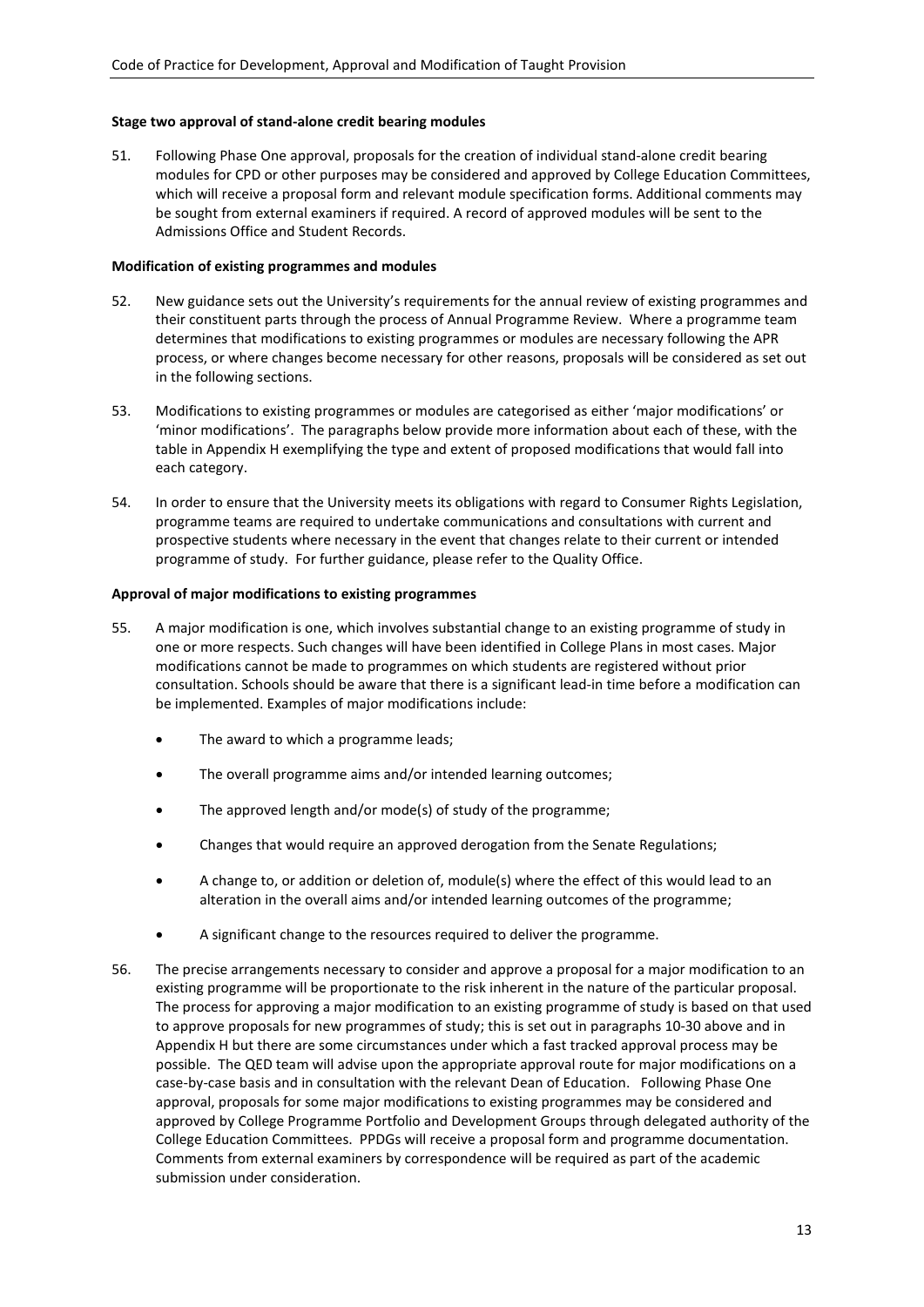### **Stage two approval of stand-alone credit bearing modules**

51. Following Phase One approval, proposals for the creation of individual stand-alone credit bearing modules for CPD or other purposes may be considered and approved by College Education Committees, which will receive a proposal form and relevant module specification forms. Additional comments may be sought from external examiners if required. A record of approved modules will be sent to the Admissions Office and Student Records.

#### **Modification of existing programmes and modules**

- 52. New guidance sets out the University's requirements for the annual review of existing programmes and their constituent parts through the process of Annual Programme Review. Where a programme team determines that modifications to existing programmes or modules are necessary following the APR process, or where changes become necessary for other reasons, proposals will be considered as set out in the following sections.
- 53. Modifications to existing programmes or modules are categorised as either 'major modifications' or 'minor modifications'. The paragraphs below provide more information about each of these, with the table in Appendix H exemplifying the type and extent of proposed modifications that would fall into each category.
- 54. In order to ensure that the University meets its obligations with regard to Consumer Rights Legislation, programme teams are required to undertake communications and consultations with current and prospective students where necessary in the event that changes relate to their current or intended programme of study. For further guidance, please refer to the Quality Office.

#### **Approval of major modifications to existing programmes**

- 55. A major modification is one, which involves substantial change to an existing programme of study in one or more respects. Such changes will have been identified in College Plans in most cases. Major modifications cannot be made to programmes on which students are registered without prior consultation. Schools should be aware that there is a significant lead-in time before a modification can be implemented. Examples of major modifications include:
	- The award to which a programme leads;
	- The overall programme aims and/or intended learning outcomes;
	- The approved length and/or mode(s) of study of the programme;
	- Changes that would require an approved derogation from the Senate Regulations;
	- A change to, or addition or deletion of, module(s) where the effect of this would lead to an alteration in the overall aims and/or intended learning outcomes of the programme;
	- A significant change to the resources required to deliver the programme.
- 56. The precise arrangements necessary to consider and approve a proposal for a major modification to an existing programme will be proportionate to the risk inherent in the nature of the particular proposal. The process for approving a major modification to an existing programme of study is based on that used to approve proposals for new programmes of study; this is set out in paragraphs 10-30 above and in Appendix H but there are some circumstances under which a fast tracked approval process may be possible. The QED team will advise upon the appropriate approval route for major modifications on a case-by-case basis and in consultation with the relevant Dean of Education. Following Phase One approval, proposals for some major modifications to existing programmes may be considered and approved by College Programme Portfolio and Development Groups through delegated authority of the College Education Committees. PPDGs will receive a proposal form and programme documentation. Comments from external examiners by correspondence will be required as part of the academic submission under consideration.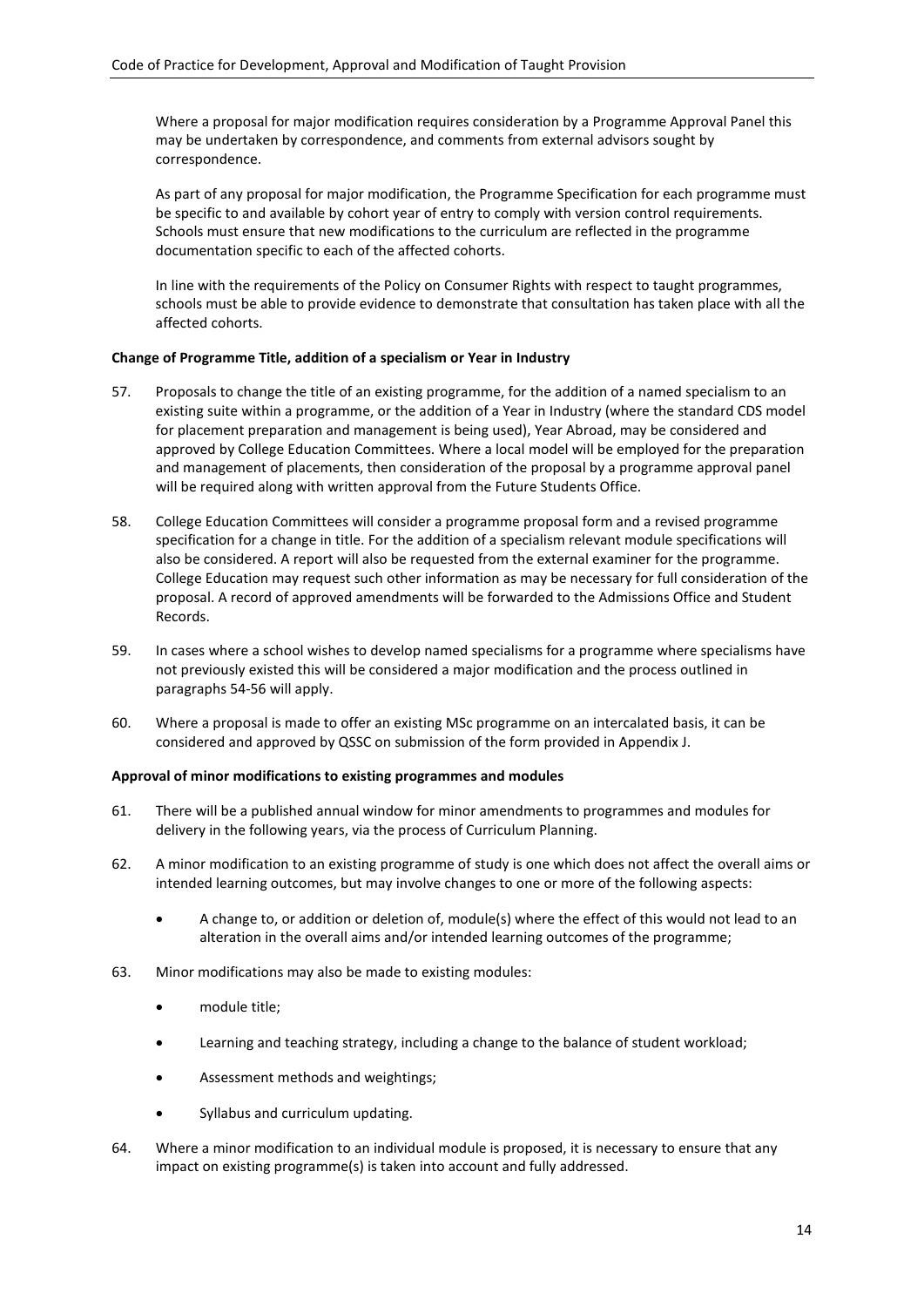Where a proposal for major modification requires consideration by a Programme Approval Panel this may be undertaken by correspondence, and comments from external advisors sought by correspondence.

As part of any proposal for major modification, the Programme Specification for each programme must be specific to and available by cohort year of entry to comply with version control requirements. Schools must ensure that new modifications to the curriculum are reflected in the programme documentation specific to each of the affected cohorts.

In line with the requirements of the Policy on Consumer Rights with respect to taught programmes, schools must be able to provide evidence to demonstrate that consultation has taken place with all the affected cohorts.

# **Change of Programme Title, addition of a specialism or Year in Industry**

- 57. Proposals to change the title of an existing programme, for the addition of a named specialism to an existing suite within a programme, or the addition of a Year in Industry (where the standard CDS model for placement preparation and management is being used), Year Abroad, may be considered and approved by College Education Committees. Where a local model will be employed for the preparation and management of placements, then consideration of the proposal by a programme approval panel will be required along with written approval from the Future Students Office.
- 58. College Education Committees will consider a programme proposal form and a revised programme specification for a change in title. For the addition of a specialism relevant module specifications will also be considered. A report will also be requested from the external examiner for the programme. College Education may request such other information as may be necessary for full consideration of the proposal. A record of approved amendments will be forwarded to the Admissions Office and Student Records.
- 59. In cases where a school wishes to develop named specialisms for a programme where specialisms have not previously existed this will be considered a major modification and the process outlined in paragraphs 54-56 will apply.
- 60. Where a proposal is made to offer an existing MSc programme on an intercalated basis, it can be considered and approved by QSSC on submission of the form provided in Appendix J.

# **Approval of minor modifications to existing programmes and modules**

- 61. There will be a published annual window for minor amendments to programmes and modules for delivery in the following years, via the process of Curriculum Planning.
- 62. A minor modification to an existing programme of study is one which does not affect the overall aims or intended learning outcomes, but may involve changes to one or more of the following aspects:
	- A change to, or addition or deletion of, module(s) where the effect of this would not lead to an alteration in the overall aims and/or intended learning outcomes of the programme;
- 63. Minor modifications may also be made to existing modules:
	- module title;
	- Learning and teaching strategy, including a change to the balance of student workload;
	- Assessment methods and weightings;
	- Syllabus and curriculum updating.
- 64. Where a minor modification to an individual module is proposed, it is necessary to ensure that any impact on existing programme(s) is taken into account and fully addressed.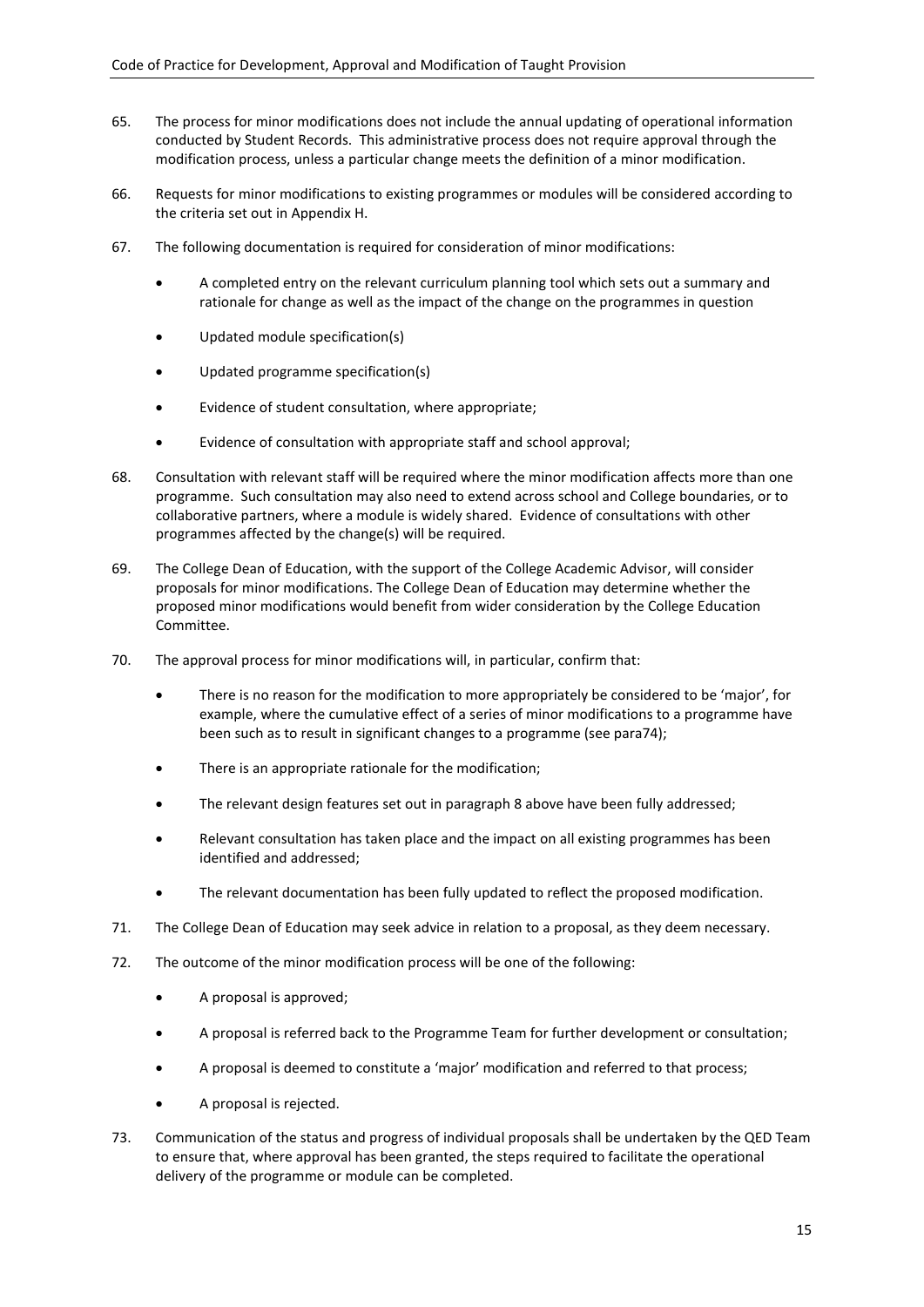- 65. The process for minor modifications does not include the annual updating of operational information conducted by Student Records. This administrative process does not require approval through the modification process, unless a particular change meets the definition of a minor modification.
- 66. Requests for minor modifications to existing programmes or modules will be considered according to the criteria set out in Appendix H.
- 67. The following documentation is required for consideration of minor modifications:
	- A completed entry on the relevant curriculum planning tool which sets out a summary and rationale for change as well as the impact of the change on the programmes in question
	- Updated module specification(s)
	- Updated programme specification(s)
	- Evidence of student consultation, where appropriate;
	- Evidence of consultation with appropriate staff and school approval;
- 68. Consultation with relevant staff will be required where the minor modification affects more than one programme. Such consultation may also need to extend across school and College boundaries, or to collaborative partners, where a module is widely shared. Evidence of consultations with other programmes affected by the change(s) will be required.
- 69. The College Dean of Education, with the support of the College Academic Advisor, will consider proposals for minor modifications. The College Dean of Education may determine whether the proposed minor modifications would benefit from wider consideration by the College Education Committee.
- 70. The approval process for minor modifications will, in particular, confirm that:
	- There is no reason for the modification to more appropriately be considered to be 'major', for example, where the cumulative effect of a series of minor modifications to a programme have been such as to result in significant changes to a programme (see para74);
	- There is an appropriate rationale for the modification;
	- The relevant design features set out in paragraph 8 above have been fully addressed;
	- Relevant consultation has taken place and the impact on all existing programmes has been identified and addressed;
	- The relevant documentation has been fully updated to reflect the proposed modification.
- 71. The College Dean of Education may seek advice in relation to a proposal, as they deem necessary.
- 72. The outcome of the minor modification process will be one of the following:
	- A proposal is approved;
	- A proposal is referred back to the Programme Team for further development or consultation;
	- A proposal is deemed to constitute a 'major' modification and referred to that process;
	- A proposal is rejected.
- 73. Communication of the status and progress of individual proposals shall be undertaken by the QED Team to ensure that, where approval has been granted, the steps required to facilitate the operational delivery of the programme or module can be completed.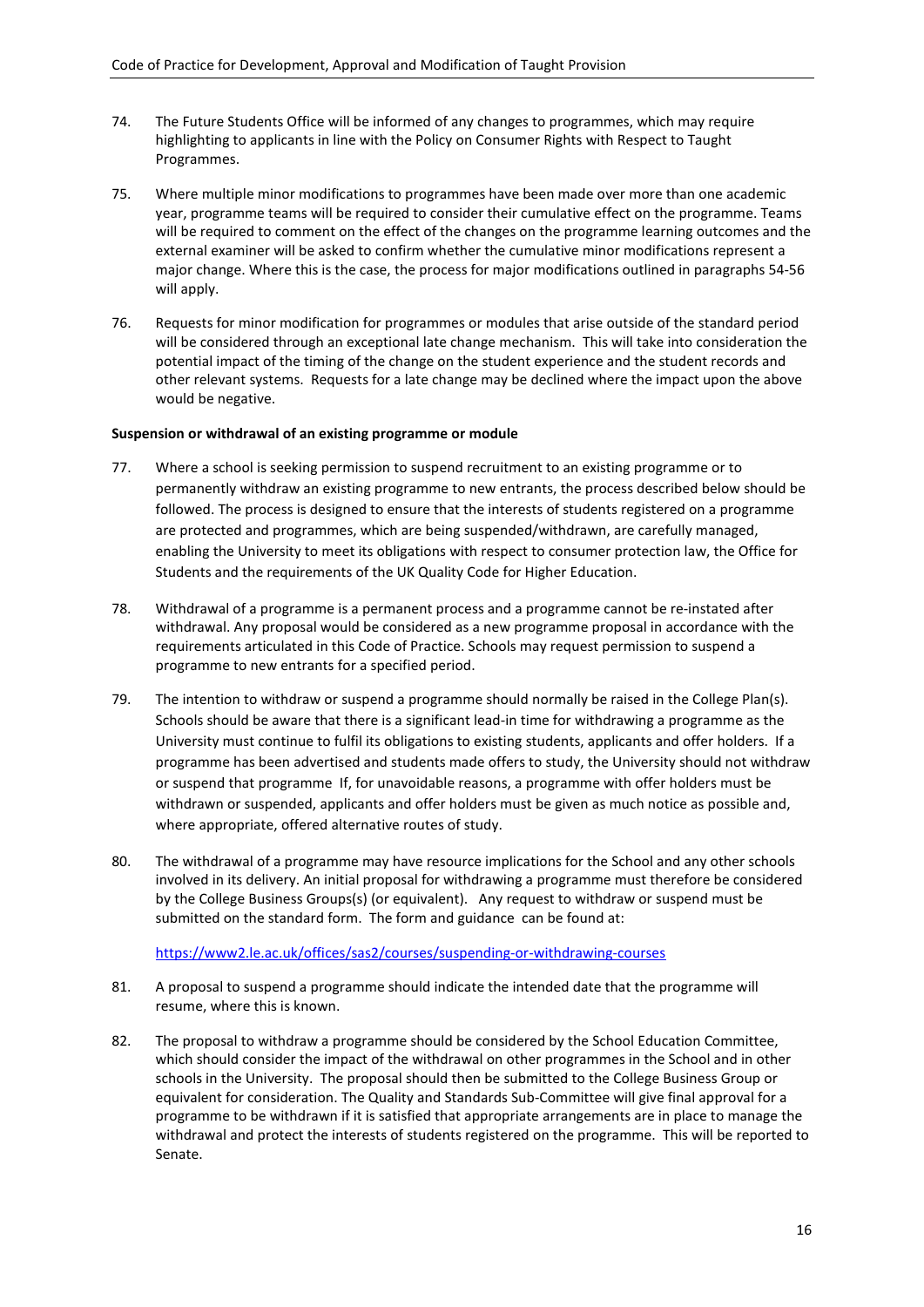- 74. The Future Students Office will be informed of any changes to programmes, which may require highlighting to applicants in line with the Policy on Consumer Rights with Respect to Taught Programmes.
- 75. Where multiple minor modifications to programmes have been made over more than one academic year, programme teams will be required to consider their cumulative effect on the programme. Teams will be required to comment on the effect of the changes on the programme learning outcomes and the external examiner will be asked to confirm whether the cumulative minor modifications represent a major change. Where this is the case, the process for major modifications outlined in paragraphs 54-56 will apply.
- 76. Requests for minor modification for programmes or modules that arise outside of the standard period will be considered through an exceptional late change mechanism. This will take into consideration the potential impact of the timing of the change on the student experience and the student records and other relevant systems. Requests for a late change may be declined where the impact upon the above would be negative.

#### **Suspension or withdrawal of an existing programme or module**

- 77. Where a school is seeking permission to suspend recruitment to an existing programme or to permanently withdraw an existing programme to new entrants, the process described below should be followed. The process is designed to ensure that the interests of students registered on a programme are protected and programmes, which are being suspended/withdrawn, are carefully managed, enabling the University to meet its obligations with respect to consumer protection law, the Office for Students and the requirements of the UK Quality Code for Higher Education.
- 78. Withdrawal of a programme is a permanent process and a programme cannot be re-instated after withdrawal. Any proposal would be considered as a new programme proposal in accordance with the requirements articulated in this Code of Practice. Schools may request permission to suspend a programme to new entrants for a specified period.
- 79. The intention to withdraw or suspend a programme should normally be raised in the College Plan(s). Schools should be aware that there is a significant lead-in time for withdrawing a programme as the University must continue to fulfil its obligations to existing students, applicants and offer holders. If a programme has been advertised and students made offers to study, the University should not withdraw or suspend that programme If, for unavoidable reasons, a programme with offer holders must be withdrawn or suspended, applicants and offer holders must be given as much notice as possible and, where appropriate, offered alternative routes of study.
- 80. The withdrawal of a programme may have resource implications for the School and any other schools involved in its delivery. An initial proposal for withdrawing a programme must therefore be considered by the College Business Groups(s) (or equivalent). Any request to withdraw or suspend must be submitted on the standard form. The form and guidance can be found at:

#### <https://www2.le.ac.uk/offices/sas2/courses/suspending-or-withdrawing-courses>

- 81. A proposal to suspend a programme should indicate the intended date that the programme will resume, where this is known.
- 82. The proposal to withdraw a programme should be considered by the School Education Committee, which should consider the impact of the withdrawal on other programmes in the School and in other schools in the University. The proposal should then be submitted to the College Business Group or equivalent for consideration. The Quality and Standards Sub-Committee will give final approval for a programme to be withdrawn if it is satisfied that appropriate arrangements are in place to manage the withdrawal and protect the interests of students registered on the programme. This will be reported to Senate.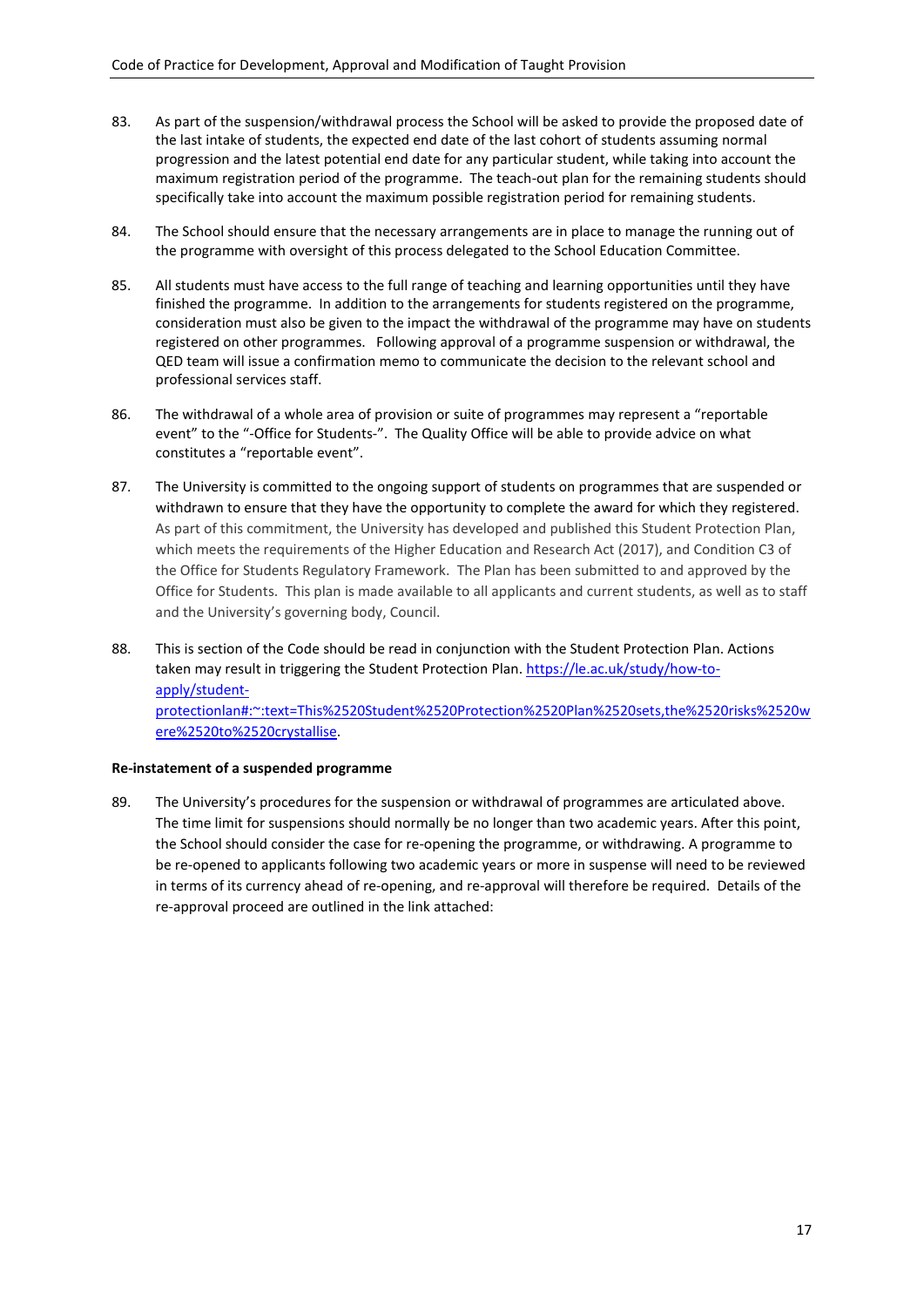- 83. As part of the suspension/withdrawal process the School will be asked to provide the proposed date of the last intake of students, the expected end date of the last cohort of students assuming normal progression and the latest potential end date for any particular student, while taking into account the maximum registration period of the programme. The teach-out plan for the remaining students should specifically take into account the maximum possible registration period for remaining students.
- 84. The School should ensure that the necessary arrangements are in place to manage the running out of the programme with oversight of this process delegated to the School Education Committee.
- 85. All students must have access to the full range of teaching and learning opportunities until they have finished the programme. In addition to the arrangements for students registered on the programme, consideration must also be given to the impact the withdrawal of the programme may have on students registered on other programmes. Following approval of a programme suspension or withdrawal, the QED team will issue a confirmation memo to communicate the decision to the relevant school and professional services staff.
- 86. The withdrawal of a whole area of provision or suite of programmes may represent a "reportable event" to the "-Office for Students-". The Quality Office will be able to provide advice on what constitutes a "reportable event".
- 87. The University is committed to the ongoing support of students on programmes that are suspended or withdrawn to ensure that they have the opportunity to complete the award for which they registered. As part of this commitment, the University has developed and published this Student Protection Plan, which meets the requirements of the Higher Education and Research Act (2017), and Condition C3 of the Office for Students Regulatory Framework. The Plan has been submitted to and approved by the Office for Students. This plan is made available to all applicants and current students, as well as to staff and the University's governing body, Council.
- 88. This is section of the Code should be read in conjunction with the Student Protection Plan. Actions taken may result in triggering the Student Protection Plan. [https://le.ac.uk/study/how-to](https://le.ac.uk/study/how-to-apply/student-protectionlan#:%7E:text=This%2520Student%2520Protection%2520Plan%2520sets,the%2520risks%2520were%2520to%2520crystallise)[apply/student](https://le.ac.uk/study/how-to-apply/student-protectionlan#:%7E:text=This%2520Student%2520Protection%2520Plan%2520sets,the%2520risks%2520were%2520to%2520crystallise)[protectionlan#:~:text=This%2520Student%2520Protection%2520Plan%2520sets,the%2520risks%2520w](https://le.ac.uk/study/how-to-apply/student-protectionlan#:%7E:text=This%2520Student%2520Protection%2520Plan%2520sets,the%2520risks%2520were%2520to%2520crystallise) [ere%2520to%2520crystallise.](https://le.ac.uk/study/how-to-apply/student-protectionlan#:%7E:text=This%2520Student%2520Protection%2520Plan%2520sets,the%2520risks%2520were%2520to%2520crystallise)

# **Re-instatement of a suspended programme**

89. The University's procedures for the suspension or withdrawal of programmes are articulated above. The time limit for suspensions should normally be no longer than two academic years. After this point, the School should consider the case for re-opening the programme, or withdrawing. A programme to be re-opened to applicants following two academic years or more in suspense will need to be reviewed in terms of its currency ahead of re-opening, and re-approval will therefore be required. Details of the re-approval proceed are outlined in the link attached: